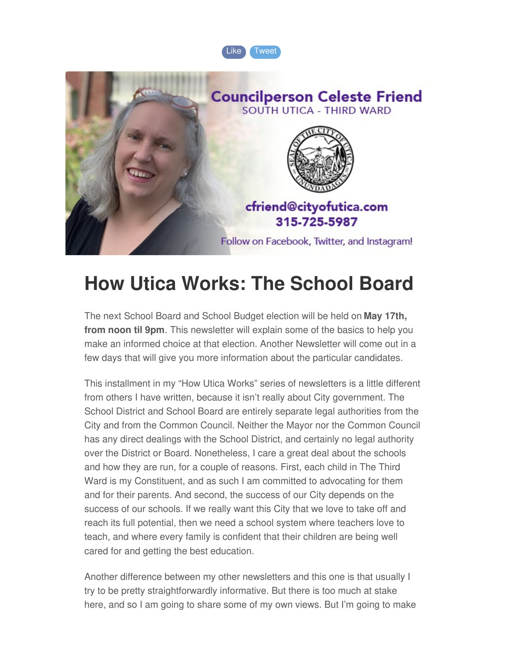



### **How Utica Works: The School Board**

The next School Board and School Budget election will be held on **May 17th, from noon til 9pm**. This newsletter will explain some of the basics to help you make an informed choice at that election. Another Newsletter will come out in a few days that will give you more information about the particular candidates.

This installment in my "How Utica Works" series of newsletters is a little different from others I have written, because it isn't really about City government. The School District and School Board are entirely separate legal authorities from the City and from the Common Council. Neither the Mayor nor the Common Council has any direct dealings with the School District, and certainly no legal authority over the District or Board. Nonetheless, I care a great deal about the schools and how they are run, for a couple of reasons. First, each child in The Third Ward is my Constituent, and as such I am committed to advocating for them and for their parents. And second, the success of our City depends on the success of our schools. If we really want this City that we love to take off and reach its full potential, then we need a school system where teachers love to teach, and where every family is confident that their children are being well cared for and getting the best education.

Another difference between my other newsletters and this one is that usually I try to be pretty straightforwardly informative. But there is too much at stake here, and so I am going to share some of my own views. But I'm going to make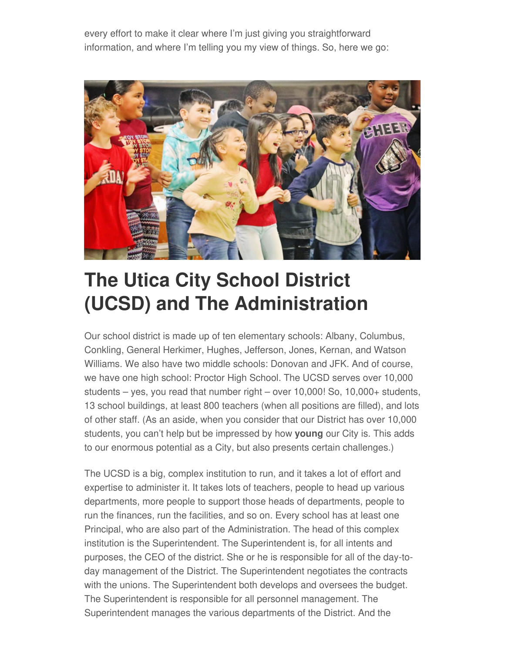every effort to make it clear where I'm just giving you straightforward information, and where I'm telling you my view of things. So, here we go:



## **The Utica City School District (UCSD) and The Administration**

Our school district is made up of ten elementary schools: Albany, Columbus, Conkling, General Herkimer, Hughes, Jefferson, Jones, Kernan, and Watson Williams. We also have two middle schools: Donovan and JFK. And of course, we have one high school: Proctor High School. The UCSD serves over 10,000 students – yes, you read that number right – over 10,000! So, 10,000+ students, 13 school buildings, at least 800 teachers (when all positions are filled), and lots of other staff. (As an aside, when you consider that our District has over 10,000 students, you can't help but be impressed by how **young** our City is. This adds to our enormous potential as a City, but also presents certain challenges.)

The UCSD is a big, complex institution to run, and it takes a lot of effort and expertise to administer it. It takes lots of teachers, people to head up various departments, more people to support those heads of departments, people to run the finances, run the facilities, and so on. Every school has at least one Principal, who are also part of the Administration. The head of this complex institution is the Superintendent. The Superintendent is, for all intents and purposes, the CEO of the district. She or he is responsible for all of the day-today management of the District. The Superintendent negotiates the contracts with the unions. The Superintendent both develops and oversees the budget. The Superintendent is responsible for all personnel management. The Superintendent manages the various departments of the District. And the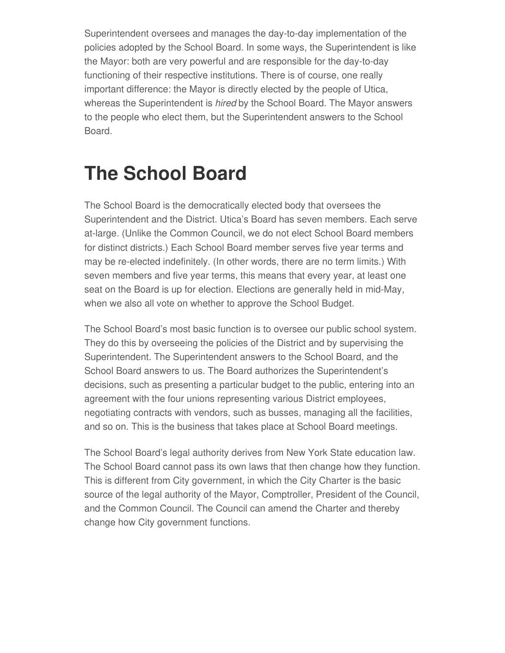Superintendent oversees and manages the day-to-day implementation of the policies adopted by the School Board. In some ways, the Superintendent is like the Mayor: both are very powerful and are responsible for the day-to-day functioning of their respective institutions. There is of course, one really important difference: the Mayor is directly elected by the people of Utica, whereas the Superintendent is *hired* by the School Board. The Mayor answers to the people who elect them, but the Superintendent answers to the School Board.

#### **The School Board**

The School Board is the democratically elected body that oversees the Superintendent and the District. Utica's Board has seven members. Each serve at-large. (Unlike the Common Council, we do not elect School Board members for distinct districts.) Each School Board member serves five year terms and may be re-elected indefinitely. (In other words, there are no term limits.) With seven members and five year terms, this means that every year, at least one seat on the Board is up for election. Elections are generally held in mid-May, when we also all vote on whether to approve the School Budget.

The School Board's most basic function is to oversee our public school system. They do this by overseeing the policies of the District and by supervising the Superintendent. The Superintendent answers to the School Board, and the School Board answers to us. The Board authorizes the Superintendent's decisions, such as presenting a particular budget to the public, entering into an agreement with the four unions representing various District employees, negotiating contracts with vendors, such as busses, managing all the facilities, and so on. This is the business that takes place at School Board meetings.

The School Board's legal authority derives from New York State education law. The School Board cannot pass its own laws that then change how they function. This is different from City government, in which the City Charter is the basic source of the legal authority of the Mayor, Comptroller, President of the Council, and the Common Council. The Council can amend the Charter and thereby change how City government functions.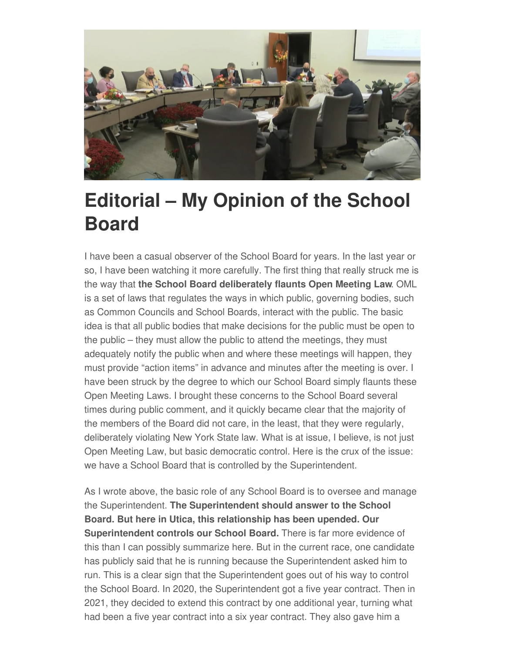

#### **Editorial – My Opinion of the School Board**

I have been a casual observer of the School Board for years. In the last year or so, I have been watching it more carefully. The first thing that really struck me is the way that **the School Board deliberately flaunts Open Meeting Law**. OML is a set of laws that regulates the ways in which public, governing bodies, such as Common Councils and School Boards, interact with the public. The basic idea is that all public bodies that make decisions for the public must be open to the public – they must allow the public to attend the meetings, they must adequately notify the public when and where these meetings will happen, they must provide "action items" in advance and minutes after the meeting is over. I have been struck by the degree to which our School Board simply flaunts these Open Meeting Laws. I brought these concerns to the School Board several times during public comment, and it quickly became clear that the majority of the members of the Board did not care, in the least, that they were regularly, deliberately violating New York State law. What is at issue, I believe, is not just Open Meeting Law, but basic democratic control. Here is the crux of the issue: we have a School Board that is controlled by the Superintendent.

As I wrote above, the basic role of any School Board is to oversee and manage the Superintendent. **The Superintendent should answer to the School Board. But here in Utica, this relationship has been upended. Our Superintendent controls our School Board.** There is far more evidence of this than I can possibly summarize here. But in the current race, one candidate has publicly said that he is running because the Superintendent asked him to run. This is a clear sign that the Superintendent goes out of his way to control the School Board. In 2020, the Superintendent got a five year contract. Then in 2021, they decided to extend this contract by one additional year, turning what had been a five year contract into a six year contract. They also gave him a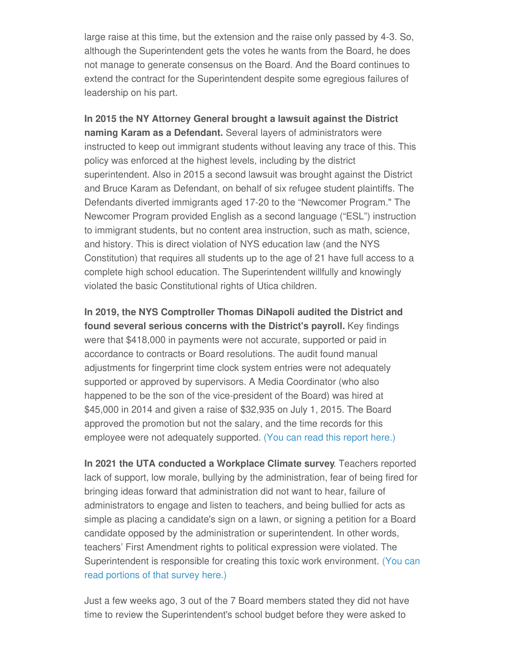large raise at this time, but the extension and the raise only passed by 4-3. So, although the Superintendent gets the votes he wants from the Board, he does not manage to generate consensus on the Board. And the Board continues to extend the contract for the Superintendent despite some egregious failures of leadership on his part.

**In 2015 the NY Attorney General brought a lawsuit against the District naming Karam as a Defendant.** Several layers of administrators were instructed to keep out immigrant students without leaving any trace of this. This policy was enforced at the highest levels, including by the district superintendent. Also in 2015 a second lawsuit was brought against the District and Bruce Karam as Defendant, on behalf of six refugee student plaintiffs. The Defendants diverted immigrants aged 17-20 to the "Newcomer Program." The Newcomer Program provided English as a second language ("ESL") instruction to immigrant students, but no content area instruction, such as math, science, and history. This is direct violation of NYS education law (and the NYS Constitution) that requires all students up to the age of 21 have full access to a complete high school education. The Superintendent willfully and knowingly violated the basic Constitutional rights of Utica children.

**In 2019, the NYS Comptroller Thomas DiNapoli audited the District and found several serious concerns with the District's payroll.** Key findings were that \$418,000 in payments were not accurate, supported or paid in accordance to contracts or Board resolutions. The audit found manual adjustments for fingerprint time clock system entries were not adequately supported or approved by supervisors. A Media Coordinator (who also happened to be the son of the vice-president of the Board) was hired at \$45,000 in 2014 and given a raise of \$32,935 on July 1, 2015. The Board approved the promotion but not the salary, and the time records for this employee were not adequately supported. (You can read this [report](https://www.osc.state.ny.us/local-government/audits/school-district/2019/01/18/utica-city-school-district-payroll-2018m-175) here.)

**In 2021 the UTA conducted a Workplace Climate survey**. Teachers reported lack of support, low morale, bullying by the administration, fear of being fired for bringing ideas forward that administration did not want to hear, failure of administrators to engage and listen to teachers, and being bullied for acts as simple as placing a candidate's sign on a lawn, or signing a petition for a Board candidate opposed by the administration or superintendent. In other words, teachers' First Amendment rights to political expression were violated. The [Superintendent](https://www.uticaforall.com/survey-admin-comments/) is responsible for creating this toxic work environment. (You can read portions of that survey here.)

Just a few weeks ago, 3 out of the 7 Board members stated they did not have time to review the Superintendent's school budget before they were asked to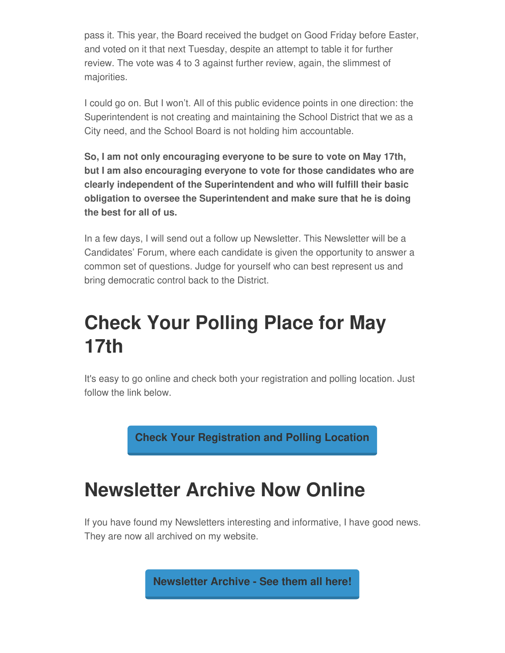pass it. This year, the Board received the budget on Good Friday before Easter, and voted on it that next Tuesday, despite an attempt to table it for further review. The vote was 4 to 3 against further review, again, the slimmest of majorities.

I could go on. But I won't. All of this public evidence points in one direction: the Superintendent is not creating and maintaining the School District that we as a City need, and the School Board is not holding him accountable.

**So, I am not only encouraging everyone to be sure to vote on May 17th, but I am also encouraging everyone to vote for those candidates who are clearly independent of the Superintendent and who will fulfill their basic obligation to oversee the Superintendent and make sure that he is doing the best for all of us.**

In a few days, I will send out a follow up Newsletter. This Newsletter will be a Candidates' Forum, where each candidate is given the opportunity to answer a common set of questions. Judge for yourself who can best represent us and bring democratic control back to the District.

#### **Check Your Polling Place for May 17th**

It's easy to go online and check both your registration and polling location. Just follow the link below.

**Check Your [Registration](https://mb.findmypollplace.com/uticacsd/AmIRegistered?fbclid=IwAR33ZO1XTSc6dUp5KjSX5fecVUCVShWJeI40v_Fwcv2qxNS9jQl51GagN-0) and Polling Location**

# **Newsletter Archive Now Online**

If you have found my Newsletters interesting and informative, I have good news. They are now all archived on my website.

**[Newsletter](https://www.uticaforall.com/newsletter/) Archive - See them all here!**